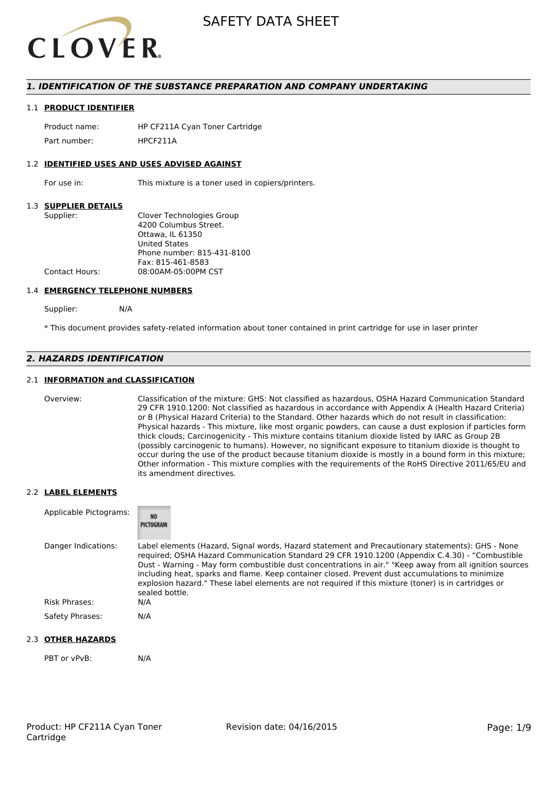

### *1. IDENTIFICATION OF THE SUBSTANCE PREPARATION AND COMPANY UNDERTAKING*

#### 1.1 **PRODUCT IDENTIFIER**

Product name: HP CF211A Cyan Toner Cartridge Part number: HPCF2114

#### 1.2 **IDENTIFIED USES AND USES ADVISED AGAINST**

For use in: This mixture is a toner used in copiers/printers.

#### 1.3 **SUPPLIER DETAILS**

| Supplier:             | Clover Technologies Group  |
|-----------------------|----------------------------|
|                       | 4200 Columbus Street.      |
|                       | Ottawa. IL 61350           |
|                       | <b>United States</b>       |
|                       | Phone number: 815-431-8100 |
|                       | Fax: 815-461-8583          |
| <b>Contact Hours:</b> | 08:00AM-05:00PM CST        |
|                       |                            |

#### 1.4 **EMERGENCY TELEPHONE NUMBERS**

Supplier: N/A

\* This document provides safety-related information about toner contained in print cartridge for use in laser printer

### *2. HAZARDS IDENTIFICATION*

#### 2.1 **INFORMATION and CLASSIFICATION**

Overview: Classification of the mixture: GHS: Not classified as hazardous, OSHA Hazard Communication Standard 29 CFR 1910.1200: Not classified as hazardous in accordance with Appendix A (Health Hazard Criteria) or B (Physical Hazard Criteria) to the Standard. Other hazards which do not result in classification: Physical hazards - This mixture, like most organic powders, can cause a dust explosion if particles form thick clouds; Carcinogenicity - This mixture contains titanium dioxide listed by IARC as Group 2B (possibly carcinogenic to humans). However, no significant exposure to titanium dioxide is thought to occur during the use of the product because titanium dioxide is mostly in a bound form in this mixture; Other information - This mixture complies with the requirements of the RoHS Directive 2011/65/EU and its amendment directives.

#### 2.2 **LABEL ELEMENTS**

| Applicable Pictograms: | <b>NO</b><br>PICTOGRAM                                                                                                                                                                                                                                                                                                                                                                                                                                                                                                                     |
|------------------------|--------------------------------------------------------------------------------------------------------------------------------------------------------------------------------------------------------------------------------------------------------------------------------------------------------------------------------------------------------------------------------------------------------------------------------------------------------------------------------------------------------------------------------------------|
| Danger Indications:    | Label elements (Hazard, Signal words, Hazard statement and Precautionary statements): GHS - None<br>required; OSHA Hazard Communication Standard 29 CFR 1910.1200 (Appendix C.4.30) - "Combustible<br>Dust - Warning - May form combustible dust concentrations in air." "Keep away from all ignition sources<br>including heat, sparks and flame. Keep container closed. Prevent dust accumulations to minimize<br>explosion hazard." These label elements are not required if this mixture (toner) is in cartridges or<br>sealed bottle. |
| Risk Phrases:          | N/A                                                                                                                                                                                                                                                                                                                                                                                                                                                                                                                                        |
| Safety Phrases:        | N/A                                                                                                                                                                                                                                                                                                                                                                                                                                                                                                                                        |

#### 2.3 **OTHER HAZARDS**

PBT or vPvB: N/A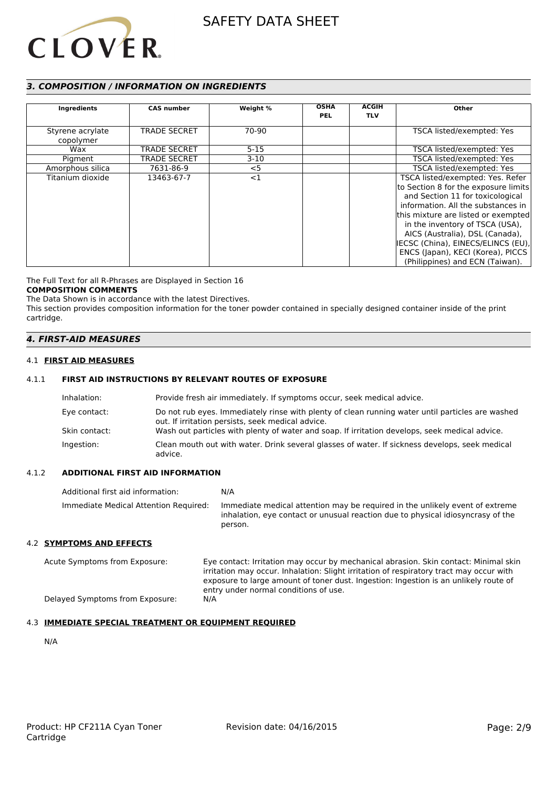

# *3. COMPOSITION / INFORMATION ON INGREDIENTS*

| Ingredients                   | <b>CAS number</b>   | Weight % | <b>OSHA</b><br><b>PEL</b> | <b>ACGIH</b><br><b>TLV</b> | Other                                                                                                                                                                                                                                                                                                                                                                         |
|-------------------------------|---------------------|----------|---------------------------|----------------------------|-------------------------------------------------------------------------------------------------------------------------------------------------------------------------------------------------------------------------------------------------------------------------------------------------------------------------------------------------------------------------------|
| Styrene acrylate<br>copolymer | <b>TRADE SECRET</b> | 70-90    |                           |                            | TSCA listed/exempted: Yes                                                                                                                                                                                                                                                                                                                                                     |
| Wax                           | <b>TRADE SECRET</b> | $5 - 15$ |                           |                            | TSCA listed/exempted: Yes                                                                                                                                                                                                                                                                                                                                                     |
| Pigment                       | <b>TRADE SECRET</b> | $3-10$   |                           |                            | TSCA listed/exempted: Yes                                                                                                                                                                                                                                                                                                                                                     |
| Amorphous silica              | 7631-86-9           | $<$ 5    |                           |                            | TSCA listed/exempted: Yes                                                                                                                                                                                                                                                                                                                                                     |
| Titanium dioxide              | 13463-67-7          | $<$ 1    |                           |                            | TSCA listed/exempted: Yes. Refer<br>to Section 8 for the exposure limits<br>and Section 11 for toxicological<br>information. All the substances in<br>this mixture are listed or exempted<br>in the inventory of TSCA (USA),<br>AICS (Australia), DSL (Canada),<br>IECSC (China), EINECS/ELINCS (EU),<br>ENCS (Japan), KECI (Korea), PICCS<br>(Philippines) and ECN (Taiwan). |

The Full Text for all R-Phrases are Displayed in Section 16

# **COMPOSITION COMMENTS**

The Data Shown is in accordance with the latest Directives. This section provides composition information for the toner powder contained in specially designed container inside of the print cartridge.

### *4. FIRST-AID MEASURES*

#### 4.1 **FIRST AID MEASURES**

### 4.1.1 **FIRST AID INSTRUCTIONS BY RELEVANT ROUTES OF EXPOSURE**

| Inhalation:   | Provide fresh air immediately. If symptoms occur, seek medical advice.                                                                                |
|---------------|-------------------------------------------------------------------------------------------------------------------------------------------------------|
| Eye contact:  | Do not rub eyes. Immediately rinse with plenty of clean running water until particles are washed<br>out. If irritation persists, seek medical advice. |
| Skin contact: | Wash out particles with plenty of water and soap. If irritation develops, seek medical advice.                                                        |
| Ingestion:    | Clean mouth out with water. Drink several glasses of water. If sickness develops, seek medical<br>advice.                                             |

#### 4.1.2 **ADDITIONAL FIRST AID INFORMATION**

| Additional first aid information:     | N/A                                                                                                                                                                        |
|---------------------------------------|----------------------------------------------------------------------------------------------------------------------------------------------------------------------------|
| Immediate Medical Attention Required: | Immediate medical attention may be required in the unlikely event of extreme<br>inhalation, eye contact or unusual reaction due to physical idiosyncrasy of the<br>person. |

#### 4.2 **SYMPTOMS AND EFFECTS**

| Acute Symptoms from Exposure:   | Eye contact: Irritation may occur by mechanical abrasion. Skin contact: Minimal skin    |
|---------------------------------|-----------------------------------------------------------------------------------------|
|                                 | irritation may occur. Inhalation: Slight irritation of respiratory tract may occur with |
|                                 | exposure to large amount of toner dust. Ingestion: Ingestion is an unlikely route of    |
|                                 | entry under normal conditions of use.                                                   |
| Delayed Symptoms from Exposure: | N/A                                                                                     |

# 4.3 **IMMEDIATE SPECIAL TREATMENT OR EQUIPMENT REQUIRED**

N/A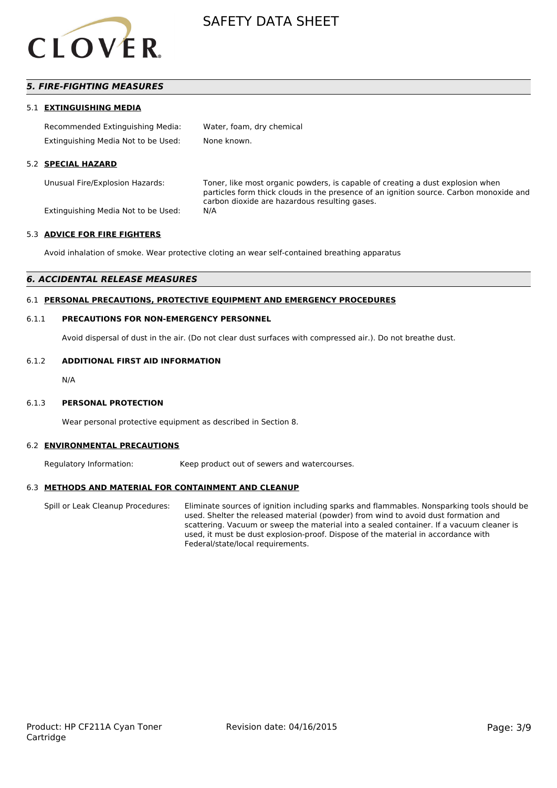

# *5. FIRE-FIGHTING MEASURES*

#### 5.1 **EXTINGUISHING MEDIA**

| Recommended Extinguishing Media:    | Water, foam, dry chemical |
|-------------------------------------|---------------------------|
| Extinguishing Media Not to be Used: | None known.               |

#### 5.2 **SPECIAL HAZARD**

Unusual Fire/Explosion Hazards: Toner, like most organic powders, is capable of creating a dust explosion when particles form thick clouds in the presence of an ignition source. Carbon monoxide and carbon dioxide are hazardous resulting gases.

Extinguishing Media Not to be Used: N/A

#### 5.3 **ADVICE FOR FIRE FIGHTERS**

Avoid inhalation of smoke. Wear protective cloting an wear self-contained breathing apparatus

#### *6. ACCIDENTAL RELEASE MEASURES*

#### 6.1 **PERSONAL PRECAUTIONS, PROTECTIVE EQUIPMENT AND EMERGENCY PROCEDURES**

#### 6.1.1 **PRECAUTIONS FOR NON-EMERGENCY PERSONNEL**

Avoid dispersal of dust in the air. (Do not clear dust surfaces with compressed air.). Do not breathe dust.

#### 6.1.2 **ADDITIONAL FIRST AID INFORMATION**

N/A

#### 6.1.3 **PERSONAL PROTECTION**

Wear personal protective equipment as described in Section 8.

#### 6.2 **ENVIRONMENTAL PRECAUTIONS**

Regulatory Information: Keep product out of sewers and watercourses.

#### 6.3 **METHODS AND MATERIAL FOR CONTAINMENT AND CLEANUP**

Spill or Leak Cleanup Procedures: Eliminate sources of ignition including sparks and flammables. Nonsparking tools should be used. Shelter the released material (powder) from wind to avoid dust formation and scattering. Vacuum or sweep the material into a sealed container. If a vacuum cleaner is used, it must be dust explosion-proof. Dispose of the material in accordance with Federal/state/local requirements.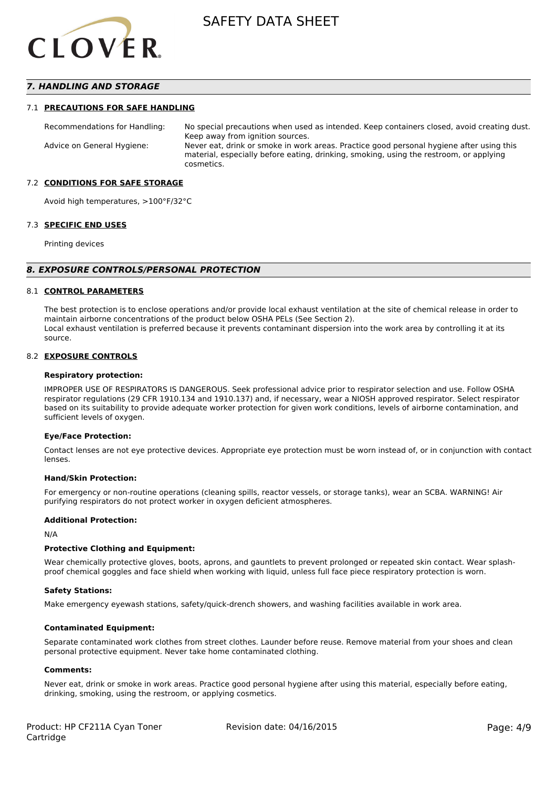

### *7. HANDLING AND STORAGE*

#### 7.1 **PRECAUTIONS FOR SAFE HANDLING**

Recommendations for Handling: No special precautions when used as intended. Keep containers closed, avoid creating dust. Keep away from ignition sources. Advice on General Hygiene: Never eat, drink or smoke in work areas. Practice good personal hygiene after using this material, especially before eating, drinking, smoking, using the restroom, or applying cosmetics.

#### 7.2 **CONDITIONS FOR SAFE STORAGE**

Avoid high temperatures, >100°F/32°C

#### 7.3 **SPECIFIC END USES**

Printing devices

#### *8. EXPOSURE CONTROLS/PERSONAL PROTECTION*

#### 8.1 **CONTROL PARAMETERS**

The best protection is to enclose operations and/or provide local exhaust ventilation at the site of chemical release in order to maintain airborne concentrations of the product below OSHA PELs (See Section 2). Local exhaust ventilation is preferred because it prevents contaminant dispersion into the work area by controlling it at its source.

#### 8.2 **EXPOSURE CONTROLS**

#### **Respiratory protection:**

IMPROPER USE OF RESPIRATORS IS DANGEROUS. Seek professional advice prior to respirator selection and use. Follow OSHA respirator regulations (29 CFR 1910.134 and 1910.137) and, if necessary, wear a NIOSH approved respirator. Select respirator based on its suitability to provide adequate worker protection for given work conditions, levels of airborne contamination, and sufficient levels of oxygen.

#### **Eye/Face Protection:**

Contact lenses are not eye protective devices. Appropriate eye protection must be worn instead of, or in conjunction with contact lenses.

#### **Hand/Skin Protection:**

For emergency or non-routine operations (cleaning spills, reactor vessels, or storage tanks), wear an SCBA. WARNING! Air purifying respirators do not protect worker in oxygen deficient atmospheres.

#### **Additional Protection:**

N/A

#### **Protective Clothing and Equipment:**

Wear chemically protective gloves, boots, aprons, and gauntlets to prevent prolonged or repeated skin contact. Wear splashproof chemical goggles and face shield when working with liquid, unless full face piece respiratory protection is worn.

#### **Safety Stations:**

Make emergency eyewash stations, safety/quick-drench showers, and washing facilities available in work area.

#### **Contaminated Equipment:**

Separate contaminated work clothes from street clothes. Launder before reuse. Remove material from your shoes and clean personal protective equipment. Never take home contaminated clothing.

#### **Comments:**

Never eat, drink or smoke in work areas. Practice good personal hygiene after using this material, especially before eating, drinking, smoking, using the restroom, or applying cosmetics.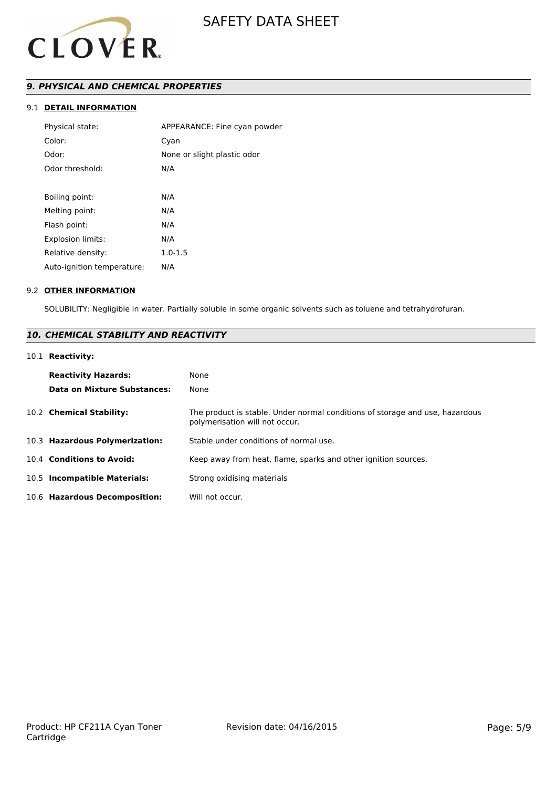

# *9. PHYSICAL AND CHEMICAL PROPERTIES*

# 9.1 **DETAIL INFORMATION**

| Physical state:            | APPEARANCE: Fine cyan powder |
|----------------------------|------------------------------|
| Color:                     | Cyan                         |
| Odor:                      | None or slight plastic odor  |
| Odor threshold:            | N/A                          |
|                            |                              |
| Boiling point:             | N/A                          |
| Melting point:             | N/A                          |
| Flash point:               | N/A                          |
| Explosion limits:          | N/A                          |
| Relative density:          | $1.0 - 1.5$                  |
| Auto-ignition temperature: | N/A                          |
|                            |                              |

#### 9.2 **OTHER INFORMATION**

SOLUBILITY: Negligible in water. Partially soluble in some organic solvents such as toluene and tetrahydrofuran.

# *10. CHEMICAL STABILITY AND REACTIVITY*

# 10.1 **Reactivity:**

| <b>Reactivity Hazards:</b><br><b>Data on Mixture Substances:</b> | None<br>None                                                                                                   |
|------------------------------------------------------------------|----------------------------------------------------------------------------------------------------------------|
| 10.2 Chemical Stability:                                         | The product is stable. Under normal conditions of storage and use, hazardous<br>polymerisation will not occur. |
| 10.3 Hazardous Polymerization:                                   | Stable under conditions of normal use.                                                                         |
| 10.4 Conditions to Avoid:                                        | Keep away from heat, flame, sparks and other ignition sources.                                                 |
| 10.5 Incompatible Materials:                                     | Strong oxidising materials                                                                                     |
| 10.6 Hazardous Decomposition:                                    | Will not occur.                                                                                                |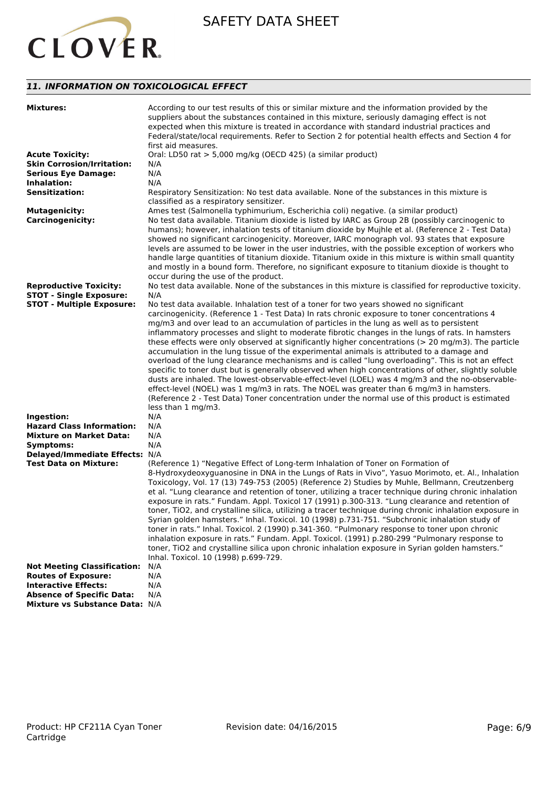

# *11. INFORMATION ON TOXICOLOGICAL EFFECT*

| <b>Mixtures:</b>                   | According to our test results of this or similar mixture and the information provided by the<br>suppliers about the substances contained in this mixture, seriously damaging effect is not<br>expected when this mixture is treated in accordance with standard industrial practices and<br>Federal/state/local requirements. Refer to Section 2 for potential health effects and Section 4 for<br>first aid measures.                                                                                                                                                                                                                                         |
|------------------------------------|----------------------------------------------------------------------------------------------------------------------------------------------------------------------------------------------------------------------------------------------------------------------------------------------------------------------------------------------------------------------------------------------------------------------------------------------------------------------------------------------------------------------------------------------------------------------------------------------------------------------------------------------------------------|
| <b>Acute Toxicity:</b>             | Oral: LD50 rat > 5,000 mg/kg (OECD 425) (a similar product)                                                                                                                                                                                                                                                                                                                                                                                                                                                                                                                                                                                                    |
| <b>Skin Corrosion/Irritation:</b>  | N/A                                                                                                                                                                                                                                                                                                                                                                                                                                                                                                                                                                                                                                                            |
| <b>Serious Eye Damage:</b>         | N/A                                                                                                                                                                                                                                                                                                                                                                                                                                                                                                                                                                                                                                                            |
| Inhalation:                        | N/A                                                                                                                                                                                                                                                                                                                                                                                                                                                                                                                                                                                                                                                            |
| <b>Sensitization:</b>              | Respiratory Sensitization: No test data available. None of the substances in this mixture is<br>classified as a respiratory sensitizer.                                                                                                                                                                                                                                                                                                                                                                                                                                                                                                                        |
| <b>Mutagenicity:</b>               | Ames test (Salmonella typhimurium, Escherichia coli) negative. (a similar product)                                                                                                                                                                                                                                                                                                                                                                                                                                                                                                                                                                             |
| <b>Carcinogenicity:</b>            | No test data available. Titanium dioxide is listed by IARC as Group 2B (possibly carcinogenic to<br>humans); however, inhalation tests of titanium dioxide by Mujhle et al. (Reference 2 - Test Data)<br>showed no significant carcinogenicity. Moreover, IARC monograph vol. 93 states that exposure<br>levels are assumed to be lower in the user industries, with the possible exception of workers who<br>handle large quantities of titanium dioxide. Titanium oxide in this mixture is within small quantity<br>and mostly in a bound form. Therefore, no significant exposure to titanium dioxide is thought to<br>occur during the use of the product. |
| <b>Reproductive Toxicity:</b>      | No test data available. None of the substances in this mixture is classified for reproductive toxicity.                                                                                                                                                                                                                                                                                                                                                                                                                                                                                                                                                        |
| <b>STOT - Single Exposure:</b>     | N/A                                                                                                                                                                                                                                                                                                                                                                                                                                                                                                                                                                                                                                                            |
| <b>STOT - Multiple Exposure:</b>   | No test data available. Inhalation test of a toner for two years showed no significant                                                                                                                                                                                                                                                                                                                                                                                                                                                                                                                                                                         |
|                                    | carcinogenicity. (Reference 1 - Test Data) In rats chronic exposure to toner concentrations 4                                                                                                                                                                                                                                                                                                                                                                                                                                                                                                                                                                  |
|                                    | mg/m3 and over lead to an accumulation of particles in the lung as well as to persistent                                                                                                                                                                                                                                                                                                                                                                                                                                                                                                                                                                       |
|                                    | inflammatory processes and slight to moderate fibrotic changes in the lungs of rats. In hamsters                                                                                                                                                                                                                                                                                                                                                                                                                                                                                                                                                               |
|                                    | these effects were only observed at significantly higher concentrations ( $> 20$ mg/m3). The particle                                                                                                                                                                                                                                                                                                                                                                                                                                                                                                                                                          |
|                                    | accumulation in the lung tissue of the experimental animals is attributed to a damage and                                                                                                                                                                                                                                                                                                                                                                                                                                                                                                                                                                      |
|                                    | overload of the lung clearance mechanisms and is called "lung overloading". This is not an effect                                                                                                                                                                                                                                                                                                                                                                                                                                                                                                                                                              |
|                                    | specific to toner dust but is generally observed when high concentrations of other, slightly soluble                                                                                                                                                                                                                                                                                                                                                                                                                                                                                                                                                           |
|                                    | dusts are inhaled. The lowest-observable-effect-level (LOEL) was 4 mg/m3 and the no-observable-                                                                                                                                                                                                                                                                                                                                                                                                                                                                                                                                                                |
|                                    | effect-level (NOEL) was 1 mg/m3 in rats. The NOEL was greater than 6 mg/m3 in hamsters.                                                                                                                                                                                                                                                                                                                                                                                                                                                                                                                                                                        |
|                                    | (Reference 2 - Test Data) Toner concentration under the normal use of this product is estimated                                                                                                                                                                                                                                                                                                                                                                                                                                                                                                                                                                |
|                                    | less than 1 mg/m3.                                                                                                                                                                                                                                                                                                                                                                                                                                                                                                                                                                                                                                             |
| Ingestion:                         | N/A                                                                                                                                                                                                                                                                                                                                                                                                                                                                                                                                                                                                                                                            |
| <b>Hazard Class Information:</b>   | N/A                                                                                                                                                                                                                                                                                                                                                                                                                                                                                                                                                                                                                                                            |
| <b>Mixture on Market Data:</b>     | N/A                                                                                                                                                                                                                                                                                                                                                                                                                                                                                                                                                                                                                                                            |
| Symptoms:                          | N/A                                                                                                                                                                                                                                                                                                                                                                                                                                                                                                                                                                                                                                                            |
|                                    |                                                                                                                                                                                                                                                                                                                                                                                                                                                                                                                                                                                                                                                                |
| Delayed/Immediate Effects: N/A     |                                                                                                                                                                                                                                                                                                                                                                                                                                                                                                                                                                                                                                                                |
| <b>Test Data on Mixture:</b>       | (Reference 1) "Negative Effect of Long-term Inhalation of Toner on Formation of                                                                                                                                                                                                                                                                                                                                                                                                                                                                                                                                                                                |
|                                    | 8-Hydroxydeoxyguanosine in DNA in the Lungs of Rats in Vivo", Yasuo Morimoto, et. Al., Inhalation                                                                                                                                                                                                                                                                                                                                                                                                                                                                                                                                                              |
|                                    | Toxicology, Vol. 17 (13) 749-753 (2005) (Reference 2) Studies by Muhle, Bellmann, Creutzenberg                                                                                                                                                                                                                                                                                                                                                                                                                                                                                                                                                                 |
|                                    | et al. "Lung clearance and retention of toner, utilizing a tracer technique during chronic inhalation                                                                                                                                                                                                                                                                                                                                                                                                                                                                                                                                                          |
|                                    | exposure in rats." Fundam. Appl. Toxicol 17 (1991) p.300-313. "Lung clearance and retention of                                                                                                                                                                                                                                                                                                                                                                                                                                                                                                                                                                 |
|                                    | toner, TiO2, and crystalline silica, utilizing a tracer technique during chronic inhalation exposure in                                                                                                                                                                                                                                                                                                                                                                                                                                                                                                                                                        |
|                                    | Syrian golden hamsters." Inhal. Toxicol. 10 (1998) p.731-751. "Subchronic inhalation study of                                                                                                                                                                                                                                                                                                                                                                                                                                                                                                                                                                  |
|                                    | toner in rats." Inhal. Toxicol. 2 (1990) p.341-360. "Pulmonary response to toner upon chronic                                                                                                                                                                                                                                                                                                                                                                                                                                                                                                                                                                  |
|                                    | inhalation exposure in rats." Fundam. Appl. Toxicol. (1991) p.280-299 "Pulmonary response to                                                                                                                                                                                                                                                                                                                                                                                                                                                                                                                                                                   |
|                                    | toner, TiO2 and crystalline silica upon chronic inhalation exposure in Syrian golden hamsters."                                                                                                                                                                                                                                                                                                                                                                                                                                                                                                                                                                |
|                                    | Inhal. Toxicol. 10 (1998) p.699-729.                                                                                                                                                                                                                                                                                                                                                                                                                                                                                                                                                                                                                           |
| <b>Not Meeting Classification:</b> | N/A                                                                                                                                                                                                                                                                                                                                                                                                                                                                                                                                                                                                                                                            |
| <b>Routes of Exposure:</b>         | N/A                                                                                                                                                                                                                                                                                                                                                                                                                                                                                                                                                                                                                                                            |
| <b>Interactive Effects:</b>        | N/A                                                                                                                                                                                                                                                                                                                                                                                                                                                                                                                                                                                                                                                            |
| <b>Absence of Specific Data:</b>   | N/A                                                                                                                                                                                                                                                                                                                                                                                                                                                                                                                                                                                                                                                            |
| Mixture vs Substance Data: N/A     |                                                                                                                                                                                                                                                                                                                                                                                                                                                                                                                                                                                                                                                                |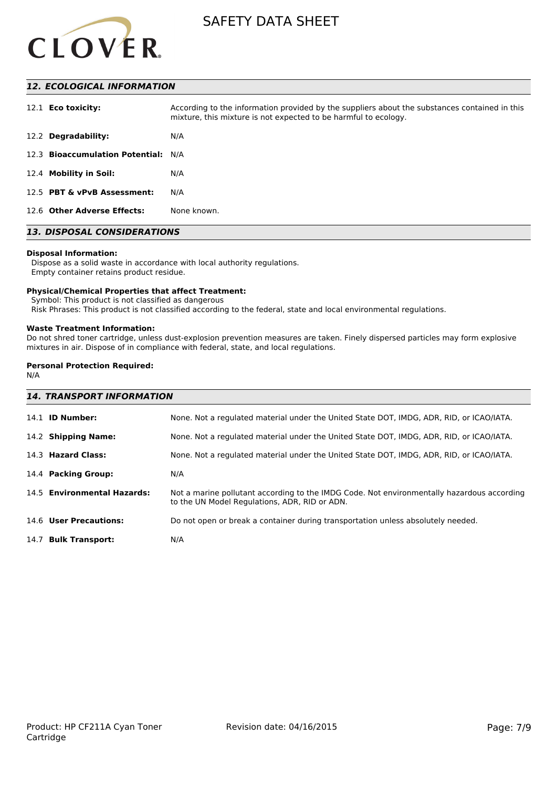

# *12. ECOLOGICAL INFORMATION*

| 12.1 <b>Eco toxicity:</b>           | According to the information provided by the suppliers about the substances contained in this<br>mixture, this mixture is not expected to be harmful to ecology. |
|-------------------------------------|------------------------------------------------------------------------------------------------------------------------------------------------------------------|
| 12.2 Degradability:                 | N/A                                                                                                                                                              |
| 12.3 Bioaccumulation Potential: N/A |                                                                                                                                                                  |
| 12.4 Mobility in Soil:              | N/A                                                                                                                                                              |
| 12.5 PBT & vPvB Assessment:         | N/A                                                                                                                                                              |
| 12.6 Other Adverse Effects:         | None known.                                                                                                                                                      |

# *13. DISPOSAL CONSIDERATIONS*

#### **Disposal Information:**

 Dispose as a solid waste in accordance with local authority regulations. Empty container retains product residue.

#### **Physical/Chemical Properties that affect Treatment:**

Symbol: This product is not classified as dangerous

Risk Phrases: This product is not classified according to the federal, state and local environmental regulations.

#### **Waste Treatment Information:**

Do not shred toner cartridge, unless dust-explosion prevention measures are taken. Finely dispersed particles may form explosive mixtures in air. Dispose of in compliance with federal, state, and local regulations.

### **Personal Protection Required:**

N/A

| <b>14. TRANSPORT INFORMATION</b> |                                                                                                                                             |  |  |
|----------------------------------|---------------------------------------------------------------------------------------------------------------------------------------------|--|--|
| 14.1 <b>ID Number:</b>           | None. Not a regulated material under the United State DOT, IMDG, ADR, RID, or ICAO/IATA.                                                    |  |  |
| 14.2 Shipping Name:              | None. Not a regulated material under the United State DOT, IMDG, ADR, RID, or ICAO/IATA.                                                    |  |  |
| 14.3 Hazard Class:               | None. Not a regulated material under the United State DOT, IMDG, ADR, RID, or ICAO/IATA.                                                    |  |  |
| 14.4 Packing Group:              | N/A                                                                                                                                         |  |  |
| 14.5 Environmental Hazards:      | Not a marine pollutant according to the IMDG Code. Not environmentally hazardous according<br>to the UN Model Regulations, ADR, RID or ADN. |  |  |
| 14.6 User Precautions:           | Do not open or break a container during transportation unless absolutely needed.                                                            |  |  |
| 14.7 Bulk Transport:             | N/A                                                                                                                                         |  |  |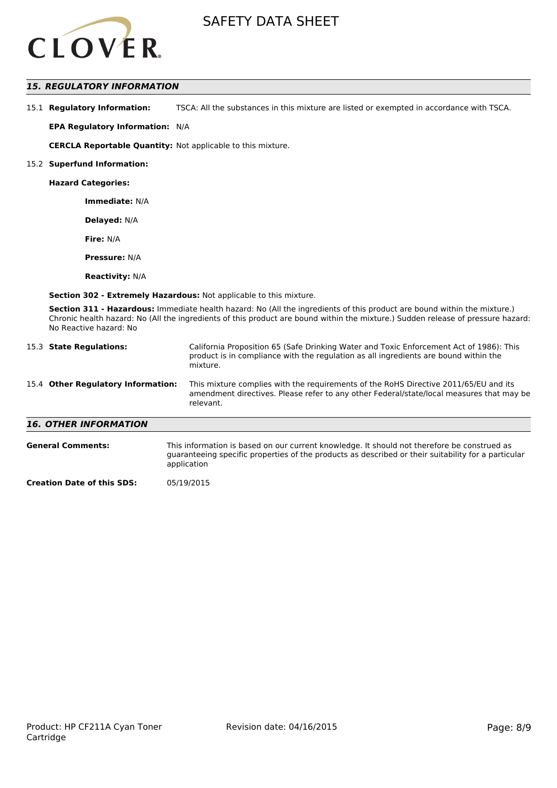

# *15. REGULATORY INFORMATION*

15.1 **Regulatory Information:** TSCA: All the substances in this mixture are listed or exempted in accordance with TSCA.

**EPA Regulatory Information:** N/A

**CERCLA Reportable Quantity:** Not applicable to this mixture.

#### 15.2 **Superfund Information:**

**Hazard Categories:**

**Immediate:** N/A

**Delayed:** N/A

**Fire:** N/A

**Pressure:** N/A

**Reactivity:** N/A

**Section 302 - Extremely Hazardous:** Not applicable to this mixture.

**Section 311 - Hazardous:** Immediate health hazard: No (All the ingredients of this product are bound within the mixture.) Chronic health hazard: No (All the ingredients of this product are bound within the mixture.) Sudden release of pressure hazard: No Reactive hazard: No

| 15.3 State Regulations:            | California Proposition 65 (Safe Drinking Water and Toxic Enforcement Act of 1986): This<br>product is in compliance with the regulation as all ingredients are bound within the<br>mixture.   |
|------------------------------------|-----------------------------------------------------------------------------------------------------------------------------------------------------------------------------------------------|
| 15.4 Other Regulatory Information: | This mixture complies with the requirements of the RoHS Directive 2011/65/EU and its<br>amendment directives. Please refer to any other Federal/state/local measures that may be<br>relevant. |
| <b>16. OTHER INFORMATION</b>       |                                                                                                                                                                                               |
| <b>General Comments:</b>           | This information is based on our current knowledge. It should not therefore be construed as                                                                                                   |

guaranteeing specific properties of the products as described or their suitability for a particular

application

**Creation Date of this SDS:** 05/19/2015